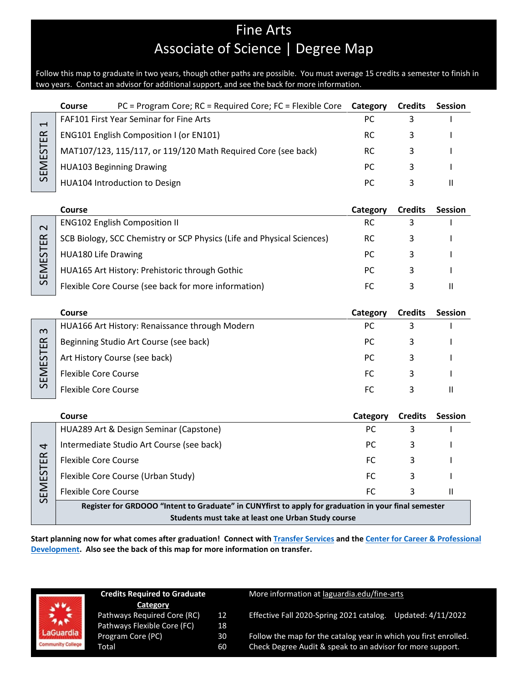# Fine Arts Associate of Science | Degree Map

Follow this map to graduate in two years, though other paths are possible. You must average 15 credits a semester to finish in two years. Contact an advisor for additional support, and see the back for more information.

|                                      | PC = Program Core; RC = Required Core; FC = Flexible Core<br>Course                                  | Category  | <b>Credits</b> | <b>Session</b>             |
|--------------------------------------|------------------------------------------------------------------------------------------------------|-----------|----------------|----------------------------|
| $\overline{\phantom{0}}$<br>SEMESTER | FAF101 First Year Seminar for Fine Arts                                                              | PC        | 3              |                            |
|                                      | ENG101 English Composition I (or EN101)                                                              | <b>RC</b> | 3              |                            |
|                                      | MAT107/123, 115/117, or 119/120 Math Required Core (see back)                                        | <b>RC</b> | 3              |                            |
|                                      | <b>HUA103 Beginning Drawing</b>                                                                      | <b>PC</b> | 3              |                            |
|                                      | HUA104 Introduction to Design                                                                        | PC        | 3              | $\ensuremath{\mathsf{II}}$ |
|                                      |                                                                                                      |           |                |                            |
|                                      | Course                                                                                               | Category  | <b>Credits</b> | <b>Session</b>             |
| $\overline{\mathbf{C}}$              | <b>ENG102 English Composition II</b>                                                                 | <b>RC</b> | 3              |                            |
|                                      | SCB Biology, SCC Chemistry or SCP Physics (Life and Physical Sciences)                               | <b>RC</b> | 3              |                            |
|                                      | <b>HUA180 Life Drawing</b>                                                                           | <b>PC</b> | 3              |                            |
| SEMESTER                             | HUA165 Art History: Prehistoric through Gothic                                                       | <b>PC</b> | 3              |                            |
|                                      | Flexible Core Course (see back for more information)                                                 | <b>FC</b> | 3              | $\mathbf{H}$               |
|                                      |                                                                                                      |           |                |                            |
|                                      | Course                                                                                               | Category  | <b>Credits</b> | <b>Session</b>             |
|                                      | HUA166 Art History: Renaissance through Modern                                                       | PC        | 3              |                            |
|                                      | Beginning Studio Art Course (see back)                                                               | PC        | 3              |                            |
|                                      | Art History Course (see back)                                                                        | PC        | 3              |                            |
| SEMESTER <sub>3</sub>                | <b>Flexible Core Course</b>                                                                          | FC        | 3              |                            |
|                                      | <b>Flexible Core Course</b>                                                                          | <b>FC</b> | 3              | $\mathbf{H}$               |
|                                      |                                                                                                      |           |                |                            |
|                                      | Course                                                                                               | Category  | <b>Credits</b> | <b>Session</b>             |
|                                      | HUA289 Art & Design Seminar (Capstone)                                                               | PC        | 3              |                            |
| 4                                    | Intermediate Studio Art Course (see back)                                                            | <b>PC</b> | 3              |                            |
|                                      | <b>Flexible Core Course</b>                                                                          | <b>FC</b> | 3              |                            |
| SEMESTER                             | Flexible Core Course (Urban Study)                                                                   | FC.       | 3              |                            |
|                                      | <b>Flexible Core Course</b>                                                                          | <b>FC</b> | 3              | $\mathbf{H}$               |
|                                      | Register for GRDOOO "Intent to Graduate" in CUNYfirst to apply for graduation in your final semester |           |                |                            |
|                                      | Students must take at least one Urban Study course                                                   |           |                |                            |

**Start planning now for what comes after graduation! Connect with [Transfer Services](https://www.laguardia.edu/transferservices/) and the [Center for Career & Professional](https://www.laguardia.edu/careerservices/)  [Development.](https://www.laguardia.edu/careerservices/) Also see the back of this map for more information on transfer.**

| <b>AGuardia</b>          |
|--------------------------|
| <b>Community College</b> |

| <b>Credits Required to Graduate</b> |    |  |  |
|-------------------------------------|----|--|--|
| Category                            |    |  |  |
| Pathways Required Core (RC)         | 12 |  |  |
| Pathways Flexible Core (FC)         | 18 |  |  |
| Program Core (PC)                   | 30 |  |  |
| Total                               | 60 |  |  |

#### More information at [laguardia.edu/fine-arts](https://cuny907-my.sharepoint.com/personal/joshua_goldblatt12_login_cuny_edu/Documents/Degree%20Maps%20&%20Curriculum/HUM/laguardia.edu/fine-arts)

12 Effective Fall 2020-Spring 2021 catalog. Updated: 4/11/2022<br>18

Follow the map for the catalog year in which you first enrolled. Check Degree Audit & speak to an advisor for more support.